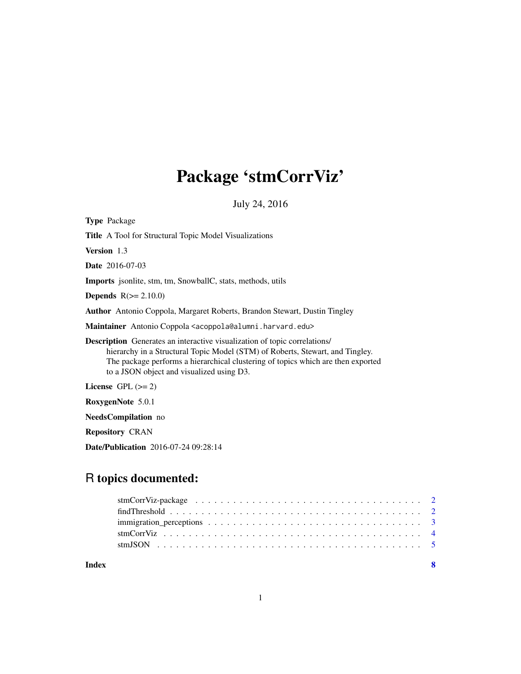# Package 'stmCorrViz'

July 24, 2016

<span id="page-0-0"></span>

| <b>Type Package</b>                                                                                                                                                                                                                                                                                |
|----------------------------------------------------------------------------------------------------------------------------------------------------------------------------------------------------------------------------------------------------------------------------------------------------|
| <b>Title</b> A Tool for Structural Topic Model Visualizations                                                                                                                                                                                                                                      |
| <b>Version</b> 1.3                                                                                                                                                                                                                                                                                 |
| <b>Date</b> 2016-07-03                                                                                                                                                                                                                                                                             |
| <b>Imports</b> jsonlite, stm, tm, SnowballC, stats, methods, utils                                                                                                                                                                                                                                 |
| <b>Depends</b> $R(>= 2.10.0)$                                                                                                                                                                                                                                                                      |
| <b>Author</b> Antonio Coppola, Margaret Roberts, Brandon Stewart, Dustin Tingley                                                                                                                                                                                                                   |
| M <b>aintainer</b> Antonio Coppola <acoppola@alumni.harvard.edu></acoppola@alumni.harvard.edu>                                                                                                                                                                                                     |
| <b>Description</b> Generates an interactive visualization of topic correlations/<br>hierarchy in a Structural Topic Model (STM) of Roberts, Stewart, and Tingley.<br>The package performs a hierarchical clustering of topics which are then exported<br>to a JSON object and visualized using D3. |
| License $GPL \, (= 2)$                                                                                                                                                                                                                                                                             |
| RoxygenNote 5.0.1                                                                                                                                                                                                                                                                                  |
| <b>NeedsCompilation</b> no                                                                                                                                                                                                                                                                         |
|                                                                                                                                                                                                                                                                                                    |

Repository CRAN

Date/Publication 2016-07-24 09:28:14

## R topics documented:

| Index | -8 |
|-------|----|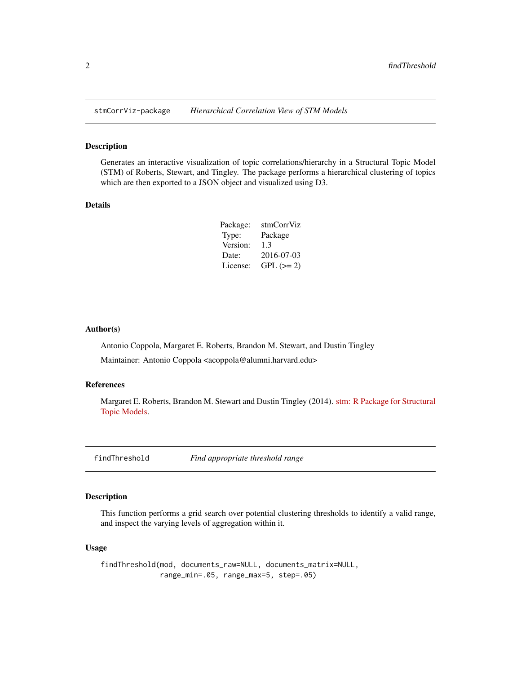<span id="page-1-0"></span>

#### Description

Generates an interactive visualization of topic correlations/hierarchy in a Structural Topic Model (STM) of Roberts, Stewart, and Tingley. The package performs a hierarchical clustering of topics which are then exported to a JSON object and visualized using D3.

#### Details

| Package: | stmCorrViz |
|----------|------------|
| Type:    | Package    |
| Version: | 1.3        |
| Date:    | 2016-07-03 |
| License: | $GPL (=2)$ |

#### Author(s)

Antonio Coppola, Margaret E. Roberts, Brandon M. Stewart, and Dustin Tingley

Maintainer: Antonio Coppola <acoppola@alumni.harvard.edu>

#### References

Margaret E. Roberts, Brandon M. Stewart and Dustin Tingley (2014). [stm: R Package for Structural](http://structuraltopicmodel.com/) [Topic Models.](http://structuraltopicmodel.com/)

<span id="page-1-1"></span>findThreshold *Find appropriate threshold range*

#### Description

This function performs a grid search over potential clustering thresholds to identify a valid range, and inspect the varying levels of aggregation within it.

#### Usage

findThreshold(mod, documents\_raw=NULL, documents\_matrix=NULL, range\_min=.05, range\_max=5, step=.05)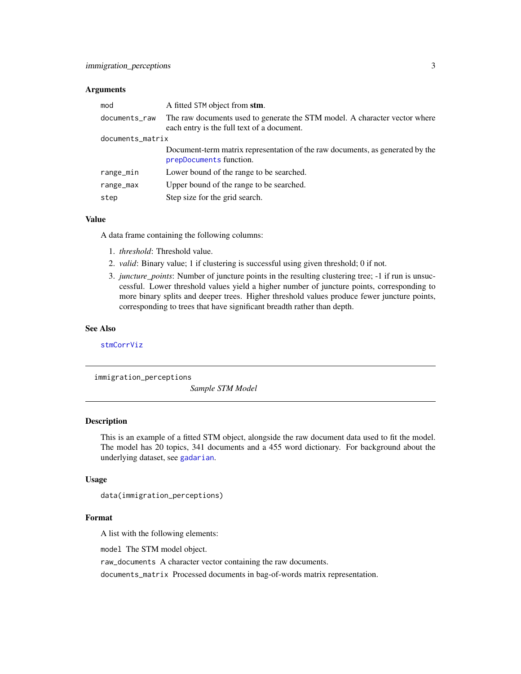#### <span id="page-2-0"></span>Arguments

| mod              | A fitted STM object from stm.                                                                                            |  |  |
|------------------|--------------------------------------------------------------------------------------------------------------------------|--|--|
| documents_raw    | The raw documents used to generate the STM model. A character vector where<br>each entry is the full text of a document. |  |  |
| documents_matrix |                                                                                                                          |  |  |
|                  | Document-term matrix representation of the raw documents, as generated by the<br>prepDocuments function.                 |  |  |
| range_min        | Lower bound of the range to be searched.                                                                                 |  |  |
| range_max        | Upper bound of the range to be searched.                                                                                 |  |  |
| step             | Step size for the grid search.                                                                                           |  |  |

#### Value

A data frame containing the following columns:

- 1. *threshold*: Threshold value.
- 2. *valid*: Binary value; 1 if clustering is successful using given threshold; 0 if not.
- 3. *juncture\_points*: Number of juncture points in the resulting clustering tree; -1 if run is unsuccessful. Lower threshold values yield a higher number of juncture points, corresponding to more binary splits and deeper trees. Higher threshold values produce fewer juncture points, corresponding to trees that have significant breadth rather than depth.

#### See Also

[stmCorrViz](#page-3-1)

immigration\_perceptions

*Sample STM Model*

#### Description

This is an example of a fitted STM object, alongside the raw document data used to fit the model. The model has 20 topics, 341 documents and a 455 word dictionary. For background about the underlying dataset, see [gadarian](#page-0-0).

#### Usage

```
data(immigration_perceptions)
```
#### Format

A list with the following elements:

model The STM model object.

raw\_documents A character vector containing the raw documents.

documents\_matrix Processed documents in bag-of-words matrix representation.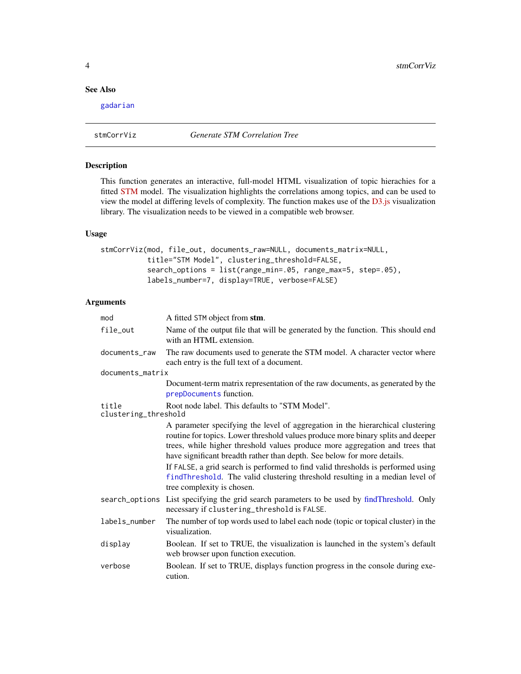#### <span id="page-3-0"></span>See Also

[gadarian](#page-0-0)

<span id="page-3-1"></span>stmCorrViz *Generate STM Correlation Tree*

#### Description

This function generates an interactive, full-model HTML visualization of topic hierachies for a fitted [STM](http://structuraltopicmodel.com/) model. The visualization highlights the correlations among topics, and can be used to view the model at differing levels of complexity. The function makes use of the [D3.js](http://d3js.org/) visualization library. The visualization needs to be viewed in a compatible web browser.

#### Usage

stmCorrViz(mod, file\_out, documents\_raw=NULL, documents\_matrix=NULL, title="STM Model", clustering\_threshold=FALSE, search\_options = list(range\_min=.05, range\_max=5, step=.05), labels\_number=7, display=TRUE, verbose=FALSE)

#### Arguments

| mod                           | A fitted STM object from stm.                                                                                                                                                                                                                                                                                                                                                                                                                                                                                                   |
|-------------------------------|---------------------------------------------------------------------------------------------------------------------------------------------------------------------------------------------------------------------------------------------------------------------------------------------------------------------------------------------------------------------------------------------------------------------------------------------------------------------------------------------------------------------------------|
| file_out                      | Name of the output file that will be generated by the function. This should end<br>with an HTML extension.                                                                                                                                                                                                                                                                                                                                                                                                                      |
| documents_raw                 | The raw documents used to generate the STM model. A character vector where<br>each entry is the full text of a document.                                                                                                                                                                                                                                                                                                                                                                                                        |
| documents_matrix              |                                                                                                                                                                                                                                                                                                                                                                                                                                                                                                                                 |
|                               | Document-term matrix representation of the raw documents, as generated by the<br>prepDocuments function.                                                                                                                                                                                                                                                                                                                                                                                                                        |
| title<br>clustering_threshold | Root node label. This defaults to "STM Model".                                                                                                                                                                                                                                                                                                                                                                                                                                                                                  |
|                               | A parameter specifying the level of aggregation in the hierarchical clustering<br>routine for topics. Lower threshold values produce more binary splits and deeper<br>trees, while higher threshold values produce more aggregation and trees that<br>have significant breadth rather than depth. See below for more details.<br>If FALSE, a grid search is performed to find valid thresholds is performed using<br>findThreshold. The valid clustering threshold resulting in a median level of<br>tree complexity is chosen. |
|                               | search_options List specifying the grid search parameters to be used by findThreshold. Only<br>necessary if clustering_threshold is FALSE.                                                                                                                                                                                                                                                                                                                                                                                      |
| labels_number                 | The number of top words used to label each node (topic or topical cluster) in the<br>visualization.                                                                                                                                                                                                                                                                                                                                                                                                                             |
| display                       | Boolean. If set to TRUE, the visualization is launched in the system's default<br>web browser upon function execution.                                                                                                                                                                                                                                                                                                                                                                                                          |
| verbose                       | Boolean. If set to TRUE, displays function progress in the console during exe-<br>cution.                                                                                                                                                                                                                                                                                                                                                                                                                                       |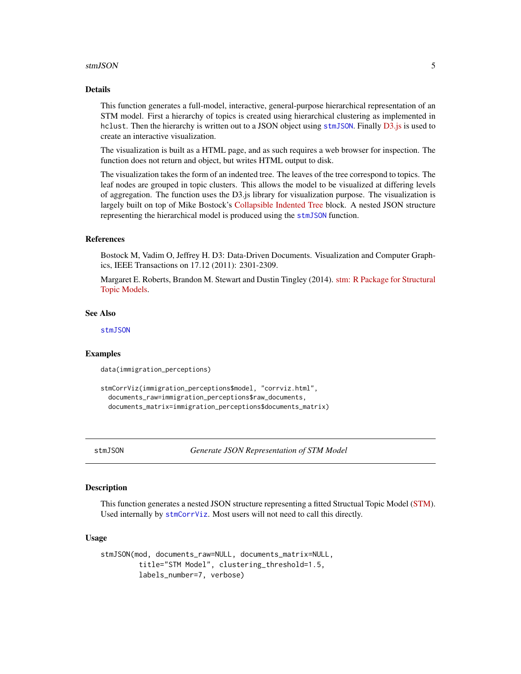#### <span id="page-4-0"></span>stmJSON 5

#### Details

This function generates a full-model, interactive, general-purpose hierarchical representation of an STM model. First a hierarchy of topics is created using hierarchical clustering as implemented in hclust. Then the hierarchy is written out to a JSON object using [stmJSON](#page-4-1). Finally [D3.js](http://d3js.org/) is used to create an interactive visualization.

The visualization is built as a HTML page, and as such requires a web browser for inspection. The function does not return and object, but writes HTML output to disk.

The visualization takes the form of an indented tree. The leaves of the tree correspond to topics. The leaf nodes are grouped in topic clusters. This allows the model to be visualized at differing levels of aggregation. The function uses the D3.js library for visualization purpose. The visualization is largely built on top of Mike Bostock's [Collapsible Indented Tree](http://bl.ocks.org/mbostock/1093025) block. A nested JSON structure representing the hierarchical model is produced using the [stmJSON](#page-4-1) function.

#### References

Bostock M, Vadim O, Jeffrey H. D3: Data-Driven Documents. Visualization and Computer Graphics, IEEE Transactions on 17.12 (2011): 2301-2309.

Margaret E. Roberts, Brandon M. Stewart and Dustin Tingley (2014). [stm: R Package for Structural](http://structuraltopicmodel.com/) [Topic Models.](http://structuraltopicmodel.com/)

#### See Also

[stmJSON](#page-4-1)

#### Examples

data(immigration\_perceptions)

```
stmCorrViz(immigration_perceptions$model, "corrviz.html",
documents_raw=immigration_perceptions$raw_documents,
documents_matrix=immigration_perceptions$documents_matrix)
```
<span id="page-4-1"></span>stmJSON *Generate JSON Representation of STM Model*

#### Description

This function generates a nested JSON structure representing a fitted Structual Topic Model [\(STM\)](http://structuraltopicmodel.com/). Used internally by [stmCorrViz](#page-3-1). Most users will not need to call this directly.

#### Usage

```
stmJSON(mod, documents_raw=NULL, documents_matrix=NULL,
        title="STM Model", clustering_threshold=1.5,
        labels_number=7, verbose)
```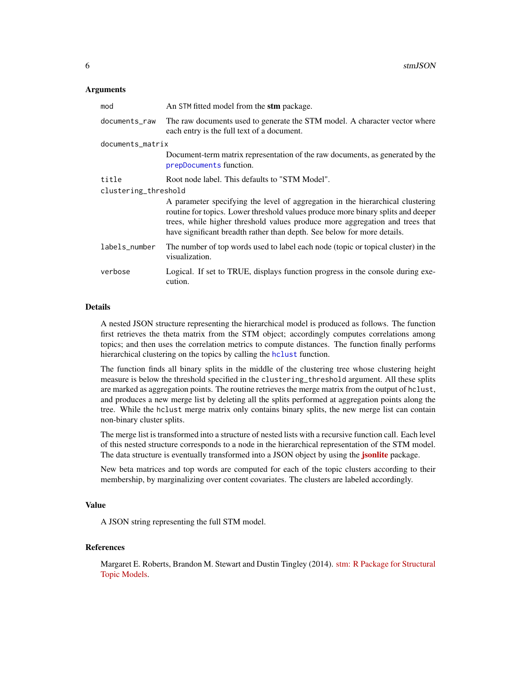#### <span id="page-5-0"></span>Arguments

| mod                  | An STM fitted model from the stm package.                                                                                                                                                                                                                                                                                     |  |  |  |
|----------------------|-------------------------------------------------------------------------------------------------------------------------------------------------------------------------------------------------------------------------------------------------------------------------------------------------------------------------------|--|--|--|
| documents raw        | The raw documents used to generate the STM model. A character vector where<br>each entry is the full text of a document.                                                                                                                                                                                                      |  |  |  |
| documents_matrix     |                                                                                                                                                                                                                                                                                                                               |  |  |  |
|                      | Document-term matrix representation of the raw documents, as generated by the<br>prepDocuments function.                                                                                                                                                                                                                      |  |  |  |
| title                | Root node label. This defaults to "STM Model".                                                                                                                                                                                                                                                                                |  |  |  |
| clustering_threshold |                                                                                                                                                                                                                                                                                                                               |  |  |  |
|                      | A parameter specifying the level of aggregation in the hierarchical clustering<br>routine for topics. Lower threshold values produce more binary splits and deeper<br>trees, while higher threshold values produce more aggregation and trees that<br>have significant breadth rather than depth. See below for more details. |  |  |  |
| labels_number        | The number of top words used to label each node (topic or topical cluster) in the<br>visualization.                                                                                                                                                                                                                           |  |  |  |
| verbose              | Logical. If set to TRUE, displays function progress in the console during exe-<br>cution.                                                                                                                                                                                                                                     |  |  |  |
|                      |                                                                                                                                                                                                                                                                                                                               |  |  |  |

#### **Details**

A nested JSON structure representing the hierarchical model is produced as follows. The function first retrieves the theta matrix from the STM object; accordingly computes correlations among topics; and then uses the correlation metrics to compute distances. The function finally performs hierarchical clustering on the topics by calling the [hclust](#page-0-0) function.

The function finds all binary splits in the middle of the clustering tree whose clustering height measure is below the threshold specified in the clustering\_threshold argument. All these splits are marked as aggregation points. The routine retrieves the merge matrix from the output of hclust, and produces a new merge list by deleting all the splits performed at aggregation points along the tree. While the hclust merge matrix only contains binary splits, the new merge list can contain non-binary cluster splits.

The merge list is transformed into a structure of nested lists with a recursive function call. Each level of this nested structure corresponds to a node in the hierarchical representation of the STM model. The data structure is eventually transformed into a JSON object by using the *[jsonlite](https://cran.r-project.org/package=jsonlite)* package.

New beta matrices and top words are computed for each of the topic clusters according to their membership, by marginalizing over content covariates. The clusters are labeled accordingly.

#### Value

A JSON string representing the full STM model.

### References

Margaret E. Roberts, Brandon M. Stewart and Dustin Tingley (2014). [stm: R Package for Structural](http://structuraltopicmodel.com/) [Topic Models.](http://structuraltopicmodel.com/)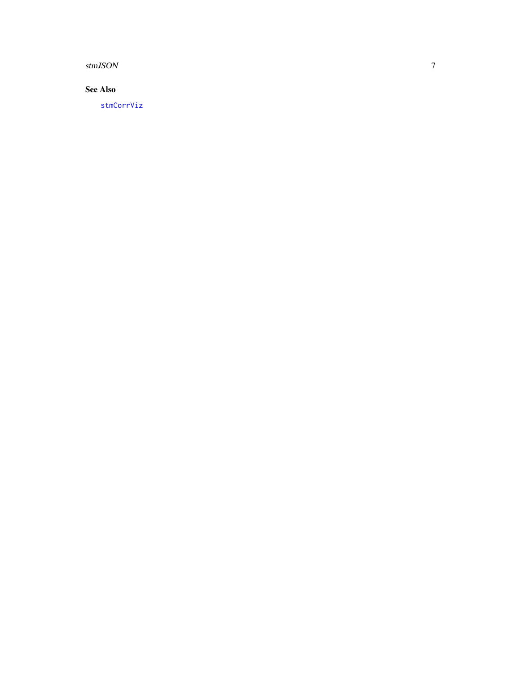<span id="page-6-0"></span>stmJSON

### See Also

[stmCorrViz](#page-3-1)